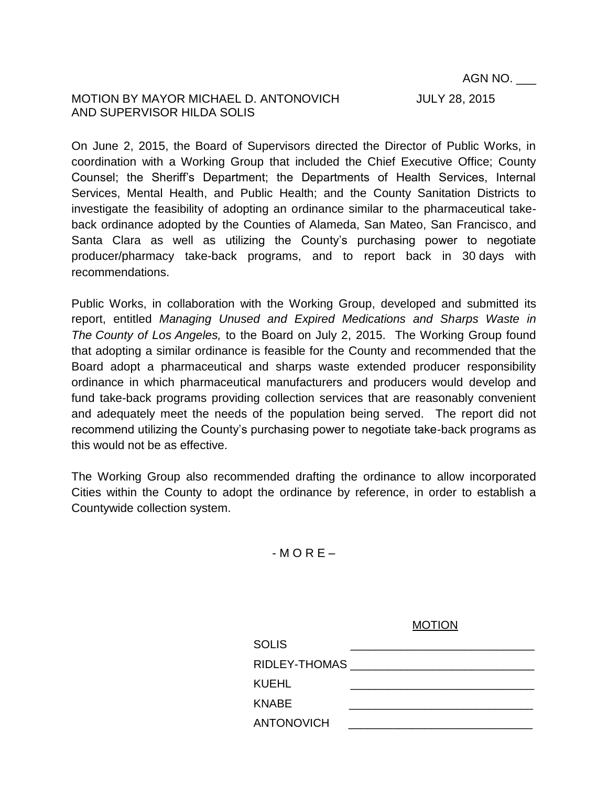## MOTION BY MAYOR MICHAEL D. ANTONOVICH JULY 28, 2015 AND SUPERVISOR HILDA SOLIS

On June 2, 2015, the Board of Supervisors directed the Director of Public Works, in coordination with a Working Group that included the Chief Executive Office; County Counsel; the Sheriff's Department; the Departments of Health Services, Internal Services, Mental Health, and Public Health; and the County Sanitation Districts to investigate the feasibility of adopting an ordinance similar to the pharmaceutical takeback ordinance adopted by the Counties of Alameda, San Mateo, San Francisco, and Santa Clara as well as utilizing the County's purchasing power to negotiate producer/pharmacy take-back programs, and to report back in 30 days with recommendations.

Public Works, in collaboration with the Working Group, developed and submitted its report, entitled *Managing Unused and Expired Medications and Sharps Waste in The County of Los Angeles,* to the Board on July 2, 2015. The Working Group found that adopting a similar ordinance is feasible for the County and recommended that the Board adopt a pharmaceutical and sharps waste extended producer responsibility ordinance in which pharmaceutical manufacturers and producers would develop and fund take-back programs providing collection services that are reasonably convenient and adequately meet the needs of the population being served. The report did not recommend utilizing the County's purchasing power to negotiate take-back programs as this would not be as effective.

The Working Group also recommended drafting the ordinance to allow incorporated Cities within the County to adopt the ordinance by reference, in order to establish a Countywide collection system.

 $-MORE -$ 

|                   | . |
|-------------------|---|
| <b>SOLIS</b>      |   |
| RIDLEY-THOMAS     |   |
| <b>KUEHL</b>      |   |
| <b>KNABE</b>      |   |
| <b>ANTONOVICH</b> |   |

**MOTION**